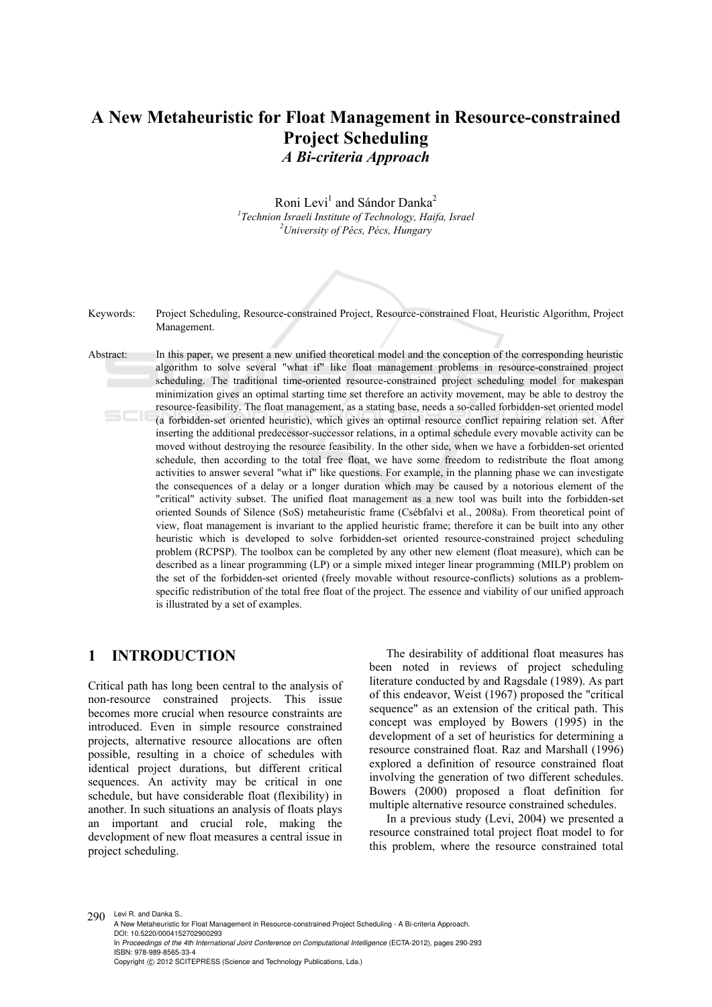# **A New Metaheuristic for Float Management in Resource-constrained Project Scheduling**  *A Bi-criteria Approach*

Roni Levi<sup>1</sup> and Sándor Danka<sup>2</sup> <sup>1</sup> Technion Israeli Institute of Technology, Haifa, Israel<br><sup>2</sup>*Llaivargity of Péas*, Péas, Hungany *University of Pécs, Pécs, Hungary* 



Keywords: Project Scheduling, Resource-constrained Project, Resource-constrained Float, Heuristic Algorithm, Project Management.

Abstract: In this paper, we present a new unified theoretical model and the conception of the corresponding heuristic algorithm to solve several "what if" like float management problems in resource-constrained project scheduling. The traditional time-oriented resource-constrained project scheduling model for makespan minimization gives an optimal starting time set therefore an activity movement, may be able to destroy the resource-feasibility. The float management, as a stating base, needs a so-called forbidden-set oriented model (a forbidden-set oriented heuristic), which gives an optimal resource conflict repairing relation set. After inserting the additional predecessor-successor relations, in a optimal schedule every movable activity can be moved without destroying the resource feasibility. In the other side, when we have a forbidden-set oriented schedule, then according to the total free float, we have some freedom to redistribute the float among activities to answer several "what if" like questions. For example, in the planning phase we can investigate the consequences of a delay or a longer duration which may be caused by a notorious element of the "critical" activity subset. The unified float management as a new tool was built into the forbidden-set oriented Sounds of Silence (SoS) metaheuristic frame (Csébfalvi et al., 2008a). From theoretical point of view, float management is invariant to the applied heuristic frame; therefore it can be built into any other heuristic which is developed to solve forbidden-set oriented resource-constrained project scheduling problem (RCPSP). The toolbox can be completed by any other new element (float measure), which can be described as a linear programming (LP) or a simple mixed integer linear programming (MILP) problem on the set of the forbidden-set oriented (freely movable without resource-conflicts) solutions as a problemspecific redistribution of the total free float of the project. The essence and viability of our unified approach is illustrated by a set of examples.

#### **1 INTRODUCTION**

Critical path has long been central to the analysis of non-resource constrained projects. This issue becomes more crucial when resource constraints are introduced. Even in simple resource constrained projects, alternative resource allocations are often possible, resulting in a choice of schedules with identical project durations, but different critical sequences. An activity may be critical in one schedule, but have considerable float (flexibility) in another. In such situations an analysis of floats plays an important and crucial role, making the development of new float measures a central issue in project scheduling.

The desirability of additional float measures has been noted in reviews of project scheduling literature conducted by and Ragsdale (1989). As part of this endeavor, Weist (1967) proposed the "critical sequence" as an extension of the critical path. This concept was employed by Bowers (1995) in the development of a set of heuristics for determining a resource constrained float. Raz and Marshall (1996) explored a definition of resource constrained float involving the generation of two different schedules. Bowers (2000) proposed a float definition for multiple alternative resource constrained schedules.

In a previous study (Levi, 2004) we presented a resource constrained total project float model to for this problem, where the resource constrained total

290 Levi R. and Danka S.. A New Metaheuristic for Float Management in Resource-constrained Project Scheduling - A Bi-criteria Approach. DOI: 10.5220/0004152702900293 In *Proceedings of the 4th International Joint Conference on Computational Intelligence* (ECTA-2012), pages 290-293 ISBN: 978-989-8565-33-4 Copyright © 2012 SCITEPRESS (Science and Technology Publications, Lda.)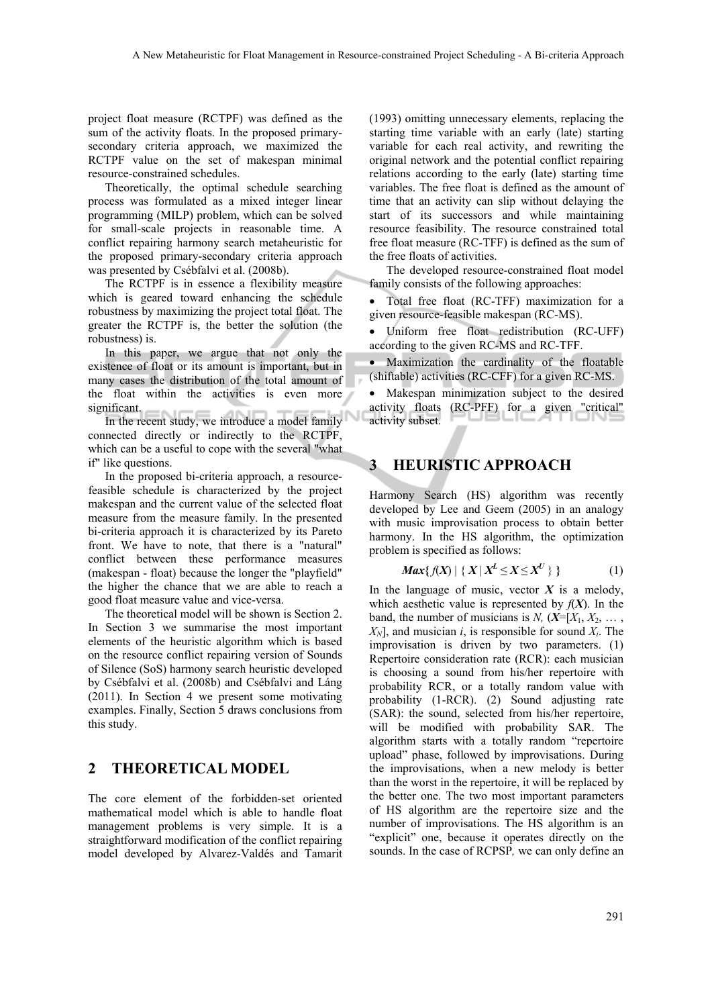project float measure (RCTPF) was defined as the sum of the activity floats. In the proposed primarysecondary criteria approach, we maximized the RCTPF value on the set of makespan minimal resource-constrained schedules.

Theoretically, the optimal schedule searching process was formulated as a mixed integer linear programming (MILP) problem, which can be solved for small-scale projects in reasonable time. A conflict repairing harmony search metaheuristic for the proposed primary-secondary criteria approach was presented by Csébfalvi et al. (2008b).

The RCTPF is in essence a flexibility measure which is geared toward enhancing the schedule robustness by maximizing the project total float. The greater the RCTPF is, the better the solution (the robustness) is.

In this paper, we argue that not only the existence of float or its amount is important, but in many cases the distribution of the total amount of the float within the activities is even more significant.

In the recent study, we introduce a model family connected directly or indirectly to the RCTPF, which can be a useful to cope with the several "what if" like questions.

In the proposed bi-criteria approach, a resourcefeasible schedule is characterized by the project makespan and the current value of the selected float measure from the measure family. In the presented bi-criteria approach it is characterized by its Pareto front. We have to note, that there is a "natural" conflict between these performance measures (makespan - float) because the longer the "playfield" the higher the chance that we are able to reach a good float measure value and vice-versa.

The theoretical model will be shown is Section 2. In Section 3 we summarise the most important elements of the heuristic algorithm which is based on the resource conflict repairing version of Sounds of Silence (SoS) harmony search heuristic developed by Csébfalvi et al. (2008b) and Csébfalvi and Láng (2011). In Section 4 we present some motivating examples. Finally, Section 5 draws conclusions from this study.

### **2 THEORETICAL MODEL**

The core element of the forbidden-set oriented mathematical model which is able to handle float management problems is very simple. It is a straightforward modification of the conflict repairing model developed by Alvarez-Valdés and Tamarit

(1993) omitting unnecessary elements, replacing the starting time variable with an early (late) starting variable for each real activity, and rewriting the original network and the potential conflict repairing relations according to the early (late) starting time variables. The free float is defined as the amount of time that an activity can slip without delaying the start of its successors and while maintaining resource feasibility. The resource constrained total free float measure (RC-TFF) is defined as the sum of the free floats of activities.

The developed resource-constrained float model family consists of the following approaches:

 Total free float (RC-TFF) maximization for a given resource-feasible makespan (RC-MS).

 Uniform free float redistribution (RC-UFF) according to the given RC-MS and RC-TFF.

 Maximization the cardinality of the floatable (shiftable) activities (RC-CFF) for a given RC-MS.

 Makespan minimization subject to the desired activity floats (RC-PFF) for a given "critical" activity subset.

### **3 HEURISTIC APPROACH**

Harmony Search (HS) algorithm was recently developed by Lee and Geem (2005) in an analogy with music improvisation process to obtain better harmony. In the HS algorithm, the optimization problem is specified as follows:

$$
Max\{f(X) \mid \{X \mid X^L \le X \le X^U\} \}
$$
 (1)

In the language of music, vector  $X$  is a melody, which aesthetic value is represented by  $f(X)$ . In the band, the number of musicians is *N*,  $(X=[X_1, X_2, \ldots, X_n])$  $X_N$ , and musician *i*, is responsible for sound  $X_i$ . The improvisation is driven by two parameters. (1) Repertoire consideration rate (RCR): each musician is choosing a sound from his/her repertoire with probability RCR, or a totally random value with probability (1-RCR). (2) Sound adjusting rate (SAR): the sound, selected from his/her repertoire, will be modified with probability SAR. The algorithm starts with a totally random "repertoire upload" phase, followed by improvisations. During the improvisations, when a new melody is better than the worst in the repertoire, it will be replaced by the better one. The two most important parameters of HS algorithm are the repertoire size and the number of improvisations. The HS algorithm is an "explicit" one, because it operates directly on the sounds. In the case of RCPSP*,* we can only define an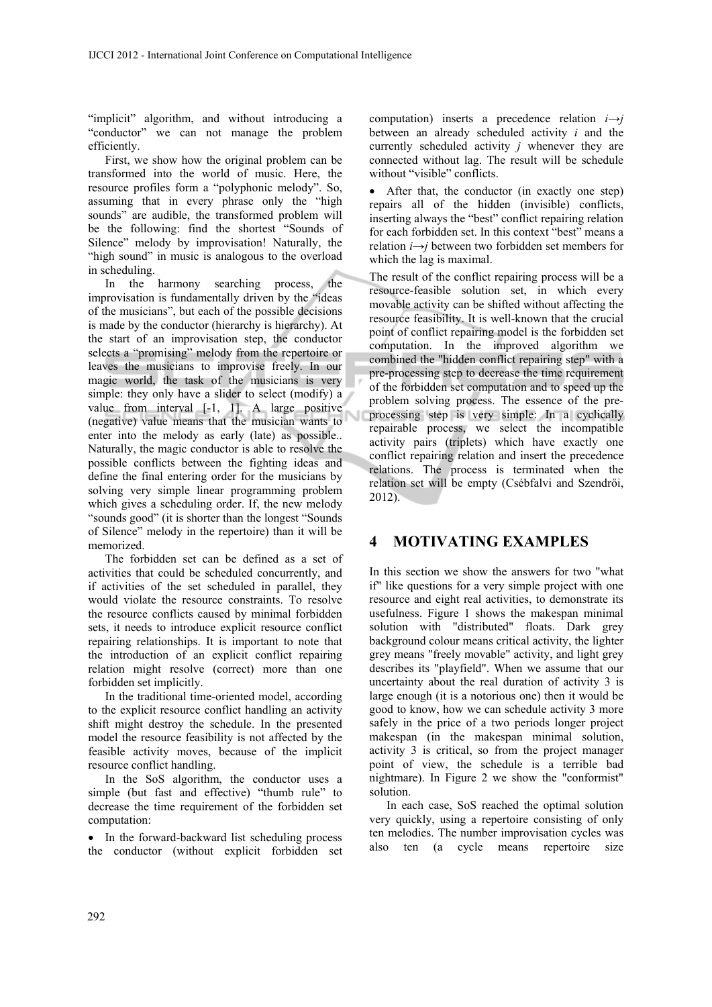"implicit" algorithm, and without introducing a "conductor" we can not manage the problem efficiently.

First, we show how the original problem can be transformed into the world of music. Here, the resource profiles form a "polyphonic melody". So, assuming that in every phrase only the "high sounds" are audible, the transformed problem will be the following: find the shortest "Sounds of Silence" melody by improvisation! Naturally, the "high sound" in music is analogous to the overload in scheduling.

In the harmony searching process, the improvisation is fundamentally driven by the "ideas of the musicians", but each of the possible decisions is made by the conductor (hierarchy is hierarchy). At the start of an improvisation step, the conductor selects a "promising" melody from the repertoire or leaves the musicians to improvise freely. In our magic world, the task of the musicians is very simple: they only have a slider to select (modify) a value from interval [-1, 1]. A large positive (negative) value means that the musician wants to enter into the melody as early (late) as possible.. Naturally, the magic conductor is able to resolve the possible conflicts between the fighting ideas and define the final entering order for the musicians by solving very simple linear programming problem which gives a scheduling order. If, the new melody "sounds good" (it is shorter than the longest "Sounds of Silence" melody in the repertoire) than it will be memorized.

The forbidden set can be defined as a set of activities that could be scheduled concurrently, and if activities of the set scheduled in parallel, they would violate the resource constraints. To resolve the resource conflicts caused by minimal forbidden sets, it needs to introduce explicit resource conflict repairing relationships. It is important to note that the introduction of an explicit conflict repairing relation might resolve (correct) more than one forbidden set implicitly.

In the traditional time-oriented model, according to the explicit resource conflict handling an activity shift might destroy the schedule. In the presented model the resource feasibility is not affected by the feasible activity moves, because of the implicit resource conflict handling.

In the SoS algorithm, the conductor uses a simple (but fast and effective) "thumb rule" to decrease the time requirement of the forbidden set computation:

• In the forward-backward list scheduling process the conductor (without explicit forbidden set

computation) inserts a precedence relation  $i \rightarrow j$ between an already scheduled activity *i* and the currently scheduled activity *j* whenever they are connected without lag. The result will be schedule without "visible" conflicts.

 After that, the conductor (in exactly one step) repairs all of the hidden (invisible) conflicts, inserting always the "best" conflict repairing relation for each forbidden set. In this context "best" means a relation *i*→*j* between two forbidden set members for which the lag is maximal.

The result of the conflict repairing process will be a resource-feasible solution set, in which every movable activity can be shifted without affecting the resource feasibility. It is well-known that the crucial point of conflict repairing model is the forbidden set computation. In the improved algorithm we combined the "hidden conflict repairing step" with a pre-processing step to decrease the time requirement of the forbidden set computation and to speed up the problem solving process. The essence of the preprocessing step is very simple: In a cyclically repairable process, we select the incompatible activity pairs (triplets) which have exactly one conflict repairing relation and insert the precedence relations. The process is terminated when the relation set will be empty (Csébfalvi and Szendrői, 2012).

## **4 MOTIVATING EXAMPLES**

In this section we show the answers for two "what if" like questions for a very simple project with one resource and eight real activities, to demonstrate its usefulness. Figure 1 shows the makespan minimal solution with "distributed" floats. Dark grey background colour means critical activity, the lighter grey means "freely movable" activity, and light grey describes its "playfield". When we assume that our uncertainty about the real duration of activity 3 is large enough (it is a notorious one) then it would be good to know, how we can schedule activity 3 more safely in the price of a two periods longer project makespan (in the makespan minimal solution, activity 3 is critical, so from the project manager point of view, the schedule is a terrible bad nightmare). In Figure 2 we show the "conformist" solution.

In each case, SoS reached the optimal solution very quickly, using a repertoire consisting of only ten melodies. The number improvisation cycles was also ten (a cycle means repertoire size